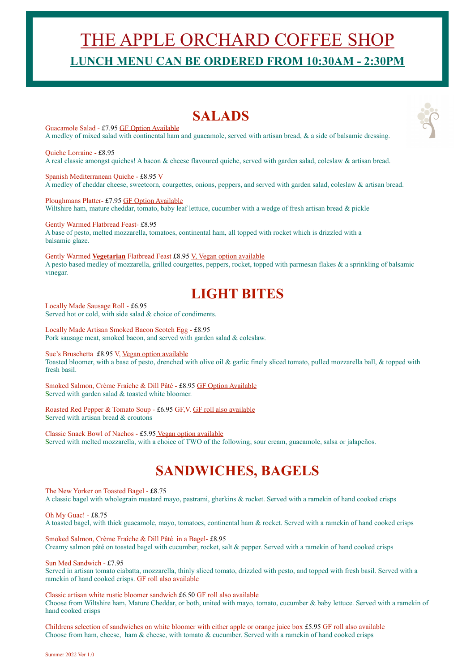# THE APPLE ORCHARD COFFEE SHOP **LUNCH MENU CAN BE ORDERED FROM 10:30AM - 2:30PM**

## **SALADS**

Guacamole Salad - £7.95 GF Option Available A medley of mixed salad with continental ham and guacamole, served with artisan bread, & a side of balsamic dressing.

Quiche Lorraine - £8.95 A real classic amongst quiches! A bacon & cheese flavoured quiche, served with garden salad, coleslaw & artisan bread.

Spanish Mediterranean Quiche - £8.95 V A medley of cheddar cheese, sweetcorn, courgettes, onions, peppers, and served with garden salad, coleslaw & artisan bread.

Ploughmans Platter- £7.95 GF Option Available Wiltshire ham, mature cheddar, tomato, baby leaf lettuce, cucumber with a wedge of fresh artisan bread & pickle

Gently Warmed Flatbread Feast- £8.95 A base of pesto, melted mozzarella, tomatoes, continental ham, all topped with rocket which is drizzled with a balsamic glaze.

Gently Warmed **Vegetarian** Flatbread Feast £8.95 V, Vegan option available A pesto based medley of mozzarella, grilled courgettes, peppers, rocket, topped with parmesan flakes & a sprinkling of balsamic vinegar.

# **LIGHT BITES**

Locally Made Sausage Roll - £6.95 Served hot or cold, with side salad & choice of condiments.

Locally Made Artisan Smoked Bacon Scotch Egg - £8.95 Pork sausage meat, smoked bacon, and served with garden salad & coleslaw.

Sue's Bruschetta £8.95 V, Vegan option available

Toasted bloomer, with a base of pesto, drenched with olive oil & garlic finely sliced tomato, pulled mozzarella ball, & topped with fresh basil.

Smoked Salmon, Crème Fraîche & Dill Pâté - £8.95 GF Option Available Served with garden salad & toasted white bloomer.

Roasted Red Pepper & Tomato Soup - £6.95 GF,V. GF roll also available Served with artisan bread & croutons

Classic Snack Bowl of Nachos - £5.95 Vegan option available Served with melted mozzarella, with a choice of TWO of the following; sour cream, guacamole, salsa or jalapeños.

# **SANDWICHES, BAGELS**

The New Yorker on Toasted Bagel - £8.75 A classic bagel with wholegrain mustard mayo, pastrami, gherkins & rocket. Served with a ramekin of hand cooked crisps

Oh My Guac! - £8.75 A toasted bagel, with thick guacamole, mayo, tomatoes, continental ham & rocket. Served with a ramekin of hand cooked crisps

Smoked Salmon, Crème Fraîche & Dill Pâté in a Bagel- £8.95 Creamy salmon pâté on toasted bagel with cucumber, rocket, salt & pepper. Served with a ramekin of hand cooked crisps

Sun Med Sandwich - £7.95

Served in artisan tomato ciabatta, mozzarella, thinly sliced tomato, drizzled with pesto, and topped with fresh basil. Served with a ramekin of hand cooked crisps. GF roll also available

Classic artisan white rustic bloomer sandwich £6.50 GF roll also available Choose from Wiltshire ham, Mature Cheddar, or both, united with mayo, tomato, cucumber & baby lettuce. Served with a ramekin of hand cooked crisps

Childrens selection of sandwiches on white bloomer with either apple or orange juice box £5.95 GF roll also available Choose from ham, cheese, ham & cheese, with tomato & cucumber. Served with a ramekin of hand cooked crisps